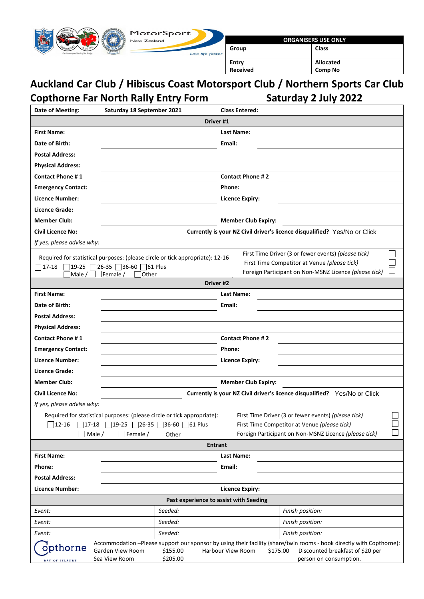

# **Auckland Car Club / Hibiscus Coast Motorsport Club / Northern Sports Car Club Copthorne Far North Rally Entry Form Saturday 2 July 2022**

| Date of Meeting:                                                                                                                                                                                                                      | Saturday 18 September 2021                                                    | <b>Class Entered:</b>                                                     |  |  |  |  |
|---------------------------------------------------------------------------------------------------------------------------------------------------------------------------------------------------------------------------------------|-------------------------------------------------------------------------------|---------------------------------------------------------------------------|--|--|--|--|
| Driver #1                                                                                                                                                                                                                             |                                                                               |                                                                           |  |  |  |  |
| <b>First Name:</b>                                                                                                                                                                                                                    |                                                                               | Last Name:                                                                |  |  |  |  |
| Date of Birth:                                                                                                                                                                                                                        |                                                                               | Email:                                                                    |  |  |  |  |
| <b>Postal Address:</b>                                                                                                                                                                                                                |                                                                               |                                                                           |  |  |  |  |
| <b>Physical Address:</b>                                                                                                                                                                                                              |                                                                               |                                                                           |  |  |  |  |
| <b>Contact Phone #1</b>                                                                                                                                                                                                               |                                                                               | <b>Contact Phone #2</b>                                                   |  |  |  |  |
| <b>Emergency Contact:</b>                                                                                                                                                                                                             | Phone:                                                                        |                                                                           |  |  |  |  |
| Licence Number:                                                                                                                                                                                                                       |                                                                               | <b>Licence Expiry:</b>                                                    |  |  |  |  |
| Licence Grade:                                                                                                                                                                                                                        |                                                                               |                                                                           |  |  |  |  |
| <b>Member Club:</b>                                                                                                                                                                                                                   |                                                                               | <b>Member Club Expiry:</b>                                                |  |  |  |  |
| <b>Civil Licence No:</b>                                                                                                                                                                                                              |                                                                               | Currently is your NZ Civil driver's licence disqualified? Yes/No or Click |  |  |  |  |
| If yes, please advise why:                                                                                                                                                                                                            |                                                                               |                                                                           |  |  |  |  |
|                                                                                                                                                                                                                                       | Required for statistical purposes: (please circle or tick appropriate): 12-16 | First Time Driver (3 or fewer events) (please tick)                       |  |  |  |  |
| $ 17-18$                                                                                                                                                                                                                              | $719-25$ 26-35 36-60 61 Plus                                                  | First Time Competitor at Venue (please tick)                              |  |  |  |  |
| $\Box$ Male /                                                                                                                                                                                                                         | $\Box$ Female /<br>  Other                                                    | Foreign Participant on Non-MSNZ Licence (please tick)                     |  |  |  |  |
|                                                                                                                                                                                                                                       | Driver #2                                                                     |                                                                           |  |  |  |  |
| <b>First Name:</b>                                                                                                                                                                                                                    |                                                                               | Last Name:                                                                |  |  |  |  |
| Date of Birth:                                                                                                                                                                                                                        |                                                                               | Email:                                                                    |  |  |  |  |
| <b>Postal Address:</b>                                                                                                                                                                                                                |                                                                               |                                                                           |  |  |  |  |
| <b>Physical Address:</b>                                                                                                                                                                                                              |                                                                               |                                                                           |  |  |  |  |
| <b>Contact Phone #1</b>                                                                                                                                                                                                               |                                                                               | <b>Contact Phone #2</b>                                                   |  |  |  |  |
| <b>Emergency Contact:</b>                                                                                                                                                                                                             | Phone:                                                                        |                                                                           |  |  |  |  |
| <b>Licence Number:</b>                                                                                                                                                                                                                |                                                                               | <b>Licence Expiry:</b>                                                    |  |  |  |  |
| Licence Grade:                                                                                                                                                                                                                        |                                                                               |                                                                           |  |  |  |  |
| <b>Member Club:</b>                                                                                                                                                                                                                   |                                                                               | <b>Member Club Expiry:</b>                                                |  |  |  |  |
| <b>Civil Licence No:</b>                                                                                                                                                                                                              |                                                                               | Currently is your NZ Civil driver's licence disqualified? Yes/No or Click |  |  |  |  |
| If yes, please advise why:                                                                                                                                                                                                            |                                                                               |                                                                           |  |  |  |  |
|                                                                                                                                                                                                                                       | Required for statistical purposes: (please circle or tick appropriate):       | First Time Driver (3 or fewer events) (please tick)                       |  |  |  |  |
|                                                                                                                                                                                                                                       | $12-16$ 17-18 19-25 26-35 36-60 61 Plus                                       | First Time Competitor at Venue (please tick)                              |  |  |  |  |
| Male /                                                                                                                                                                                                                                | $\Box$ Female /<br>Other                                                      | Foreign Participant on Non-MSNZ Licence (please tick)                     |  |  |  |  |
|                                                                                                                                                                                                                                       | <b>Entrant</b>                                                                |                                                                           |  |  |  |  |
| <b>First Name:</b>                                                                                                                                                                                                                    |                                                                               | Last Name:                                                                |  |  |  |  |
| Phone:                                                                                                                                                                                                                                |                                                                               | Email:                                                                    |  |  |  |  |
| <b>Postal Address:</b>                                                                                                                                                                                                                |                                                                               |                                                                           |  |  |  |  |
| <b>Licence Number:</b>                                                                                                                                                                                                                |                                                                               | <b>Licence Expiry:</b>                                                    |  |  |  |  |
|                                                                                                                                                                                                                                       | Past experience to assist with Seeding                                        |                                                                           |  |  |  |  |
| Event:                                                                                                                                                                                                                                | Seeded:                                                                       | Finish position:                                                          |  |  |  |  |
| Event:                                                                                                                                                                                                                                | Seeded:                                                                       | Finish position:                                                          |  |  |  |  |
| Event:                                                                                                                                                                                                                                | Seeded:                                                                       | Finish position:                                                          |  |  |  |  |
| Accommodation -Please support our sponsor by using their facility (share/twin rooms - book directly with Copthorne):<br>opthorne<br>\$155.00<br>Garden View Room<br>Harbour View Room<br>\$175.00<br>Discounted breakfast of \$20 per |                                                                               |                                                                           |  |  |  |  |
| <b>BAY OF ISLANDS</b>                                                                                                                                                                                                                 | \$205.00<br>Sea View Room                                                     | person on consumption.                                                    |  |  |  |  |